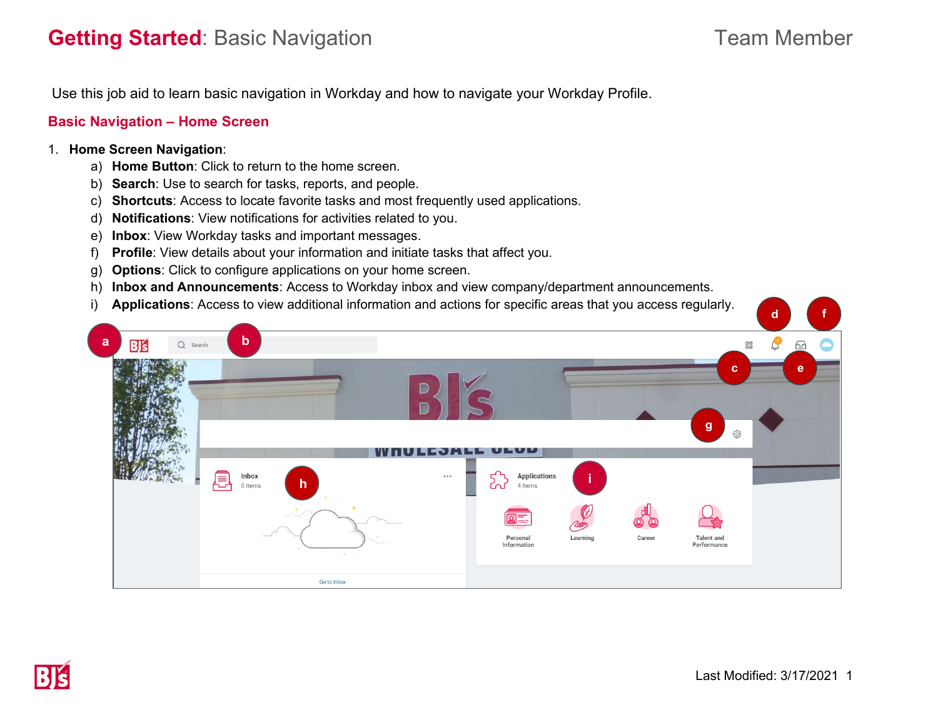# **Getting Started**: Basic Navigation **Team Member** Team Member

Use this job aid to learn basic navigation in Workday and how to navigate your Workday Profile.

## **Basic Navigation – Home Screen**

### 1. **Home Screen Navigation**:

- a) **Home Button**: Click to return to the home screen.
- b) **Search**: Use to search for tasks, reports, and people.
- c) **Shortcuts**: Access to locate favorite tasks and most frequently used applications.
- d) **Notifications**: View notifications for activities related to you.
- e) **Inbox**: View Workday tasks and important messages.
- f) **Profile**: View details about your information and initiate tasks that affect you.
- g) **Options**: Click to configure applications on your home screen.
- h) **Inbox and Announcements**: Access to Workday inbox and view company/department announcements.
- i) **Applications**: Access to view additional information and actions for specific areas that you access regularly.

| $\cdot$                        |                                                                                                                             | $\mathbf d$                                                                                      |
|--------------------------------|-----------------------------------------------------------------------------------------------------------------------------|--------------------------------------------------------------------------------------------------|
| a<br>$B\mathbf{S}$<br>Q Search | $\mathbf b$                                                                                                                 | 먧<br>$\sqrt{2}$<br>$\ominus$<br>c                                                                |
|                                | <b>WHULESALE ULUD</b><br>圓<br>Inbox<br>$\cdots$<br>$\mathsf{h}$<br>0 items<br>4 items<br>ലപ<br>Ξ<br>Personal<br>Information | c<br>e<br>$\mathbf{g}$<br>503<br>Applications<br>Learning<br>Career<br>Talent and<br>Performance |
|                                | Go to Inbox                                                                                                                 |                                                                                                  |

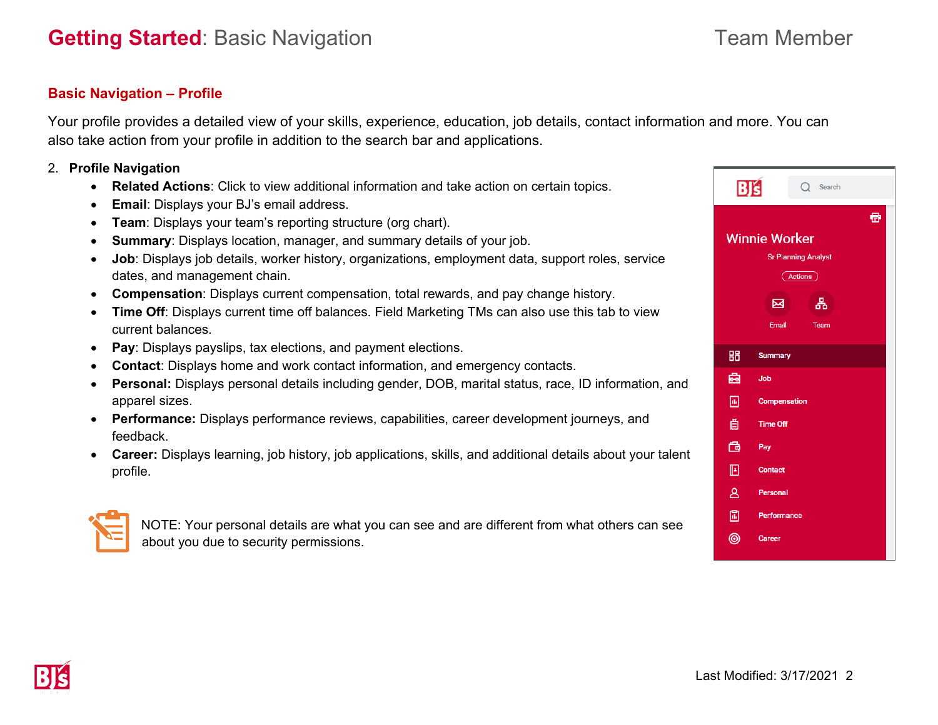## **Basic Navigation – Profile**

Your profile provides a detailed view of your skills, experience, education, job details, contact information and more. You can also take action from your profile in addition to the search bar and applications.

### 2. **Profile Navigation**

- **Related Actions**: Click to view additional information and take action on certain topics.
- **Email**: Displays your BJ's email address.
- **Team**: Displays your team's reporting structure (org chart).
- **Summary**: Displays location, manager, and summary details of your job.
- **Job**: Displays job details, worker history, organizations, employment data, support roles, service dates, and management chain.
- **Compensation**: Displays current compensation, total rewards, and pay change history.
- **Time Off**: Displays current time off balances. Field Marketing TMs can also use this tab to view current balances.
- **Pay**: Displays payslips, tax elections, and payment elections.
- **Contact**: Displays home and work contact information, and emergency contacts.
- **Personal:** Displays personal details including gender, DOB, marital status, race, ID information, and apparel sizes.
- **Performance:** Displays performance reviews, capabilities, career development journeys, and feedback.
- **Career:** Displays learning, job history, job applications, skills, and additional details about your talent profile.



NOTE: Your personal details are what you can see and are different from what others can see about you due to security permissions.

| BJS                                                                  | $Q$ Search          |  |  |  |
|----------------------------------------------------------------------|---------------------|--|--|--|
| ø<br><b>Winnie Worker</b><br><b>Sr Planning Analyst</b><br>Actions ) |                     |  |  |  |
|                                                                      | 옮<br>図              |  |  |  |
|                                                                      | Email<br>Team       |  |  |  |
| 品                                                                    | <b>Summary</b>      |  |  |  |
| 凾                                                                    | Job                 |  |  |  |
| ⊡                                                                    | <b>Compensation</b> |  |  |  |
| 卣                                                                    | <b>Time Off</b>     |  |  |  |
| 喦                                                                    | Pay                 |  |  |  |
| ▣                                                                    | <b>Contact</b>      |  |  |  |
| $\mathbf{B}$                                                         | Personal            |  |  |  |
| 圖                                                                    | Performance         |  |  |  |
| ◉                                                                    | <b>Career</b>       |  |  |  |
|                                                                      |                     |  |  |  |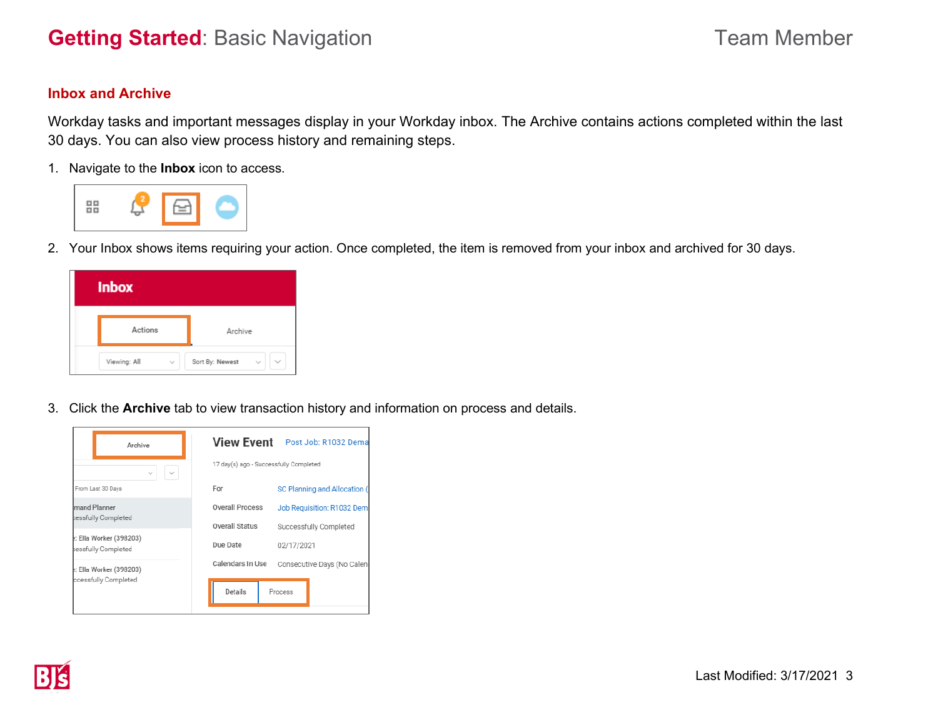# **Getting Started**: Basic Navigation **Team Member** Team Member

# **Inbox and Archive**

Workday tasks and important messages display in your Workday inbox. The Archive contains actions completed within the last 30 days. You can also view process history and remaining steps.

1. Navigate to the **Inbox** icon to access.



2. Your Inbox shows items requiring your action. Once completed, the item is removed from your inbox and archived for 30 days.

| <b>Inbox</b> |                                                                 |
|--------------|-----------------------------------------------------------------|
| Actions      | Archive                                                         |
| Viewing: All | Sort By: Newest<br>$\checkmark$<br>$\checkmark$<br>$\checkmark$ |

3. Click the **Archive** tab to view transaction history and information on process and details.